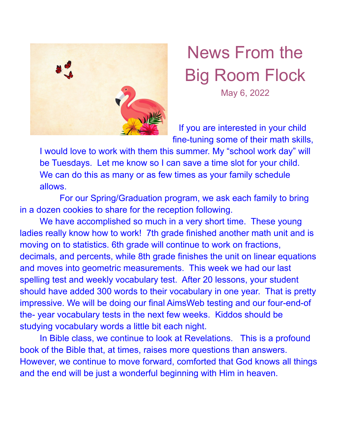

## News From the Big Room Flock May 6, 2022

If you are interested in your child fine-tuning some of their math skills,

I would love to work with them this summer. My "school work day" will be Tuesdays. Let me know so I can save a time slot for your child. We can do this as many or as few times as your family schedule allows.

For our Spring/Graduation program, we ask each family to bring in a dozen cookies to share for the reception following.

We have accomplished so much in a very short time. These young ladies really know how to work! 7th grade finished another math unit and is moving on to statistics. 6th grade will continue to work on fractions, decimals, and percents, while 8th grade finishes the unit on linear equations and moves into geometric measurements. This week we had our last spelling test and weekly vocabulary test. After 20 lessons, your student should have added 300 words to their vocabulary in one year. That is pretty impressive. We will be doing our final AimsWeb testing and our four-end-of the- year vocabulary tests in the next few weeks. Kiddos should be studying vocabulary words a little bit each night.

In Bible class, we continue to look at Revelations. This is a profound book of the Bible that, at times, raises more questions than answers. However, we continue to move forward, comforted that God knows all things and the end will be just a wonderful beginning with Him in heaven.